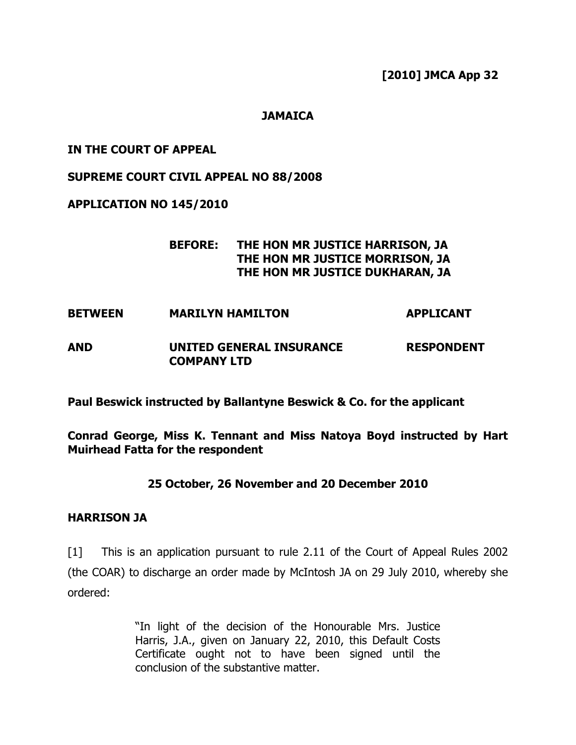[2010] JMCA App 32

## **JAMAICA**

### IN THE COURT OF APPEAL

#### SUPREME COURT CIVIL APPEAL NO 88/2008

#### APPLICATION NO 145/2010

## BEFORE: THE HON MR JUSTICE HARRISON, JA THE HON MR JUSTICE MORRISON, JA THE HON MR JUSTICE DUKHARAN, JA

BETWEEN MARILYN HAMILTON APPLICANT

## AND UNITED GENERAL INSURANCE RESPONDENT COMPANY LTD

Paul Beswick instructed by Ballantyne Beswick & Co. for the applicant

Conrad George, Miss K. Tennant and Miss Natoya Boyd instructed by Hart Muirhead Fatta for the respondent

#### 25 October, 26 November and 20 December 2010

#### HARRISON JA

[1] This is an application pursuant to rule 2.11 of the Court of Appeal Rules 2002 (the COAR) to discharge an order made by McIntosh JA on 29 July 2010, whereby she ordered:

> "In light of the decision of the Honourable Mrs. Justice Harris, J.A., given on January 22, 2010, this Default Costs Certificate ought not to have been signed until the conclusion of the substantive matter.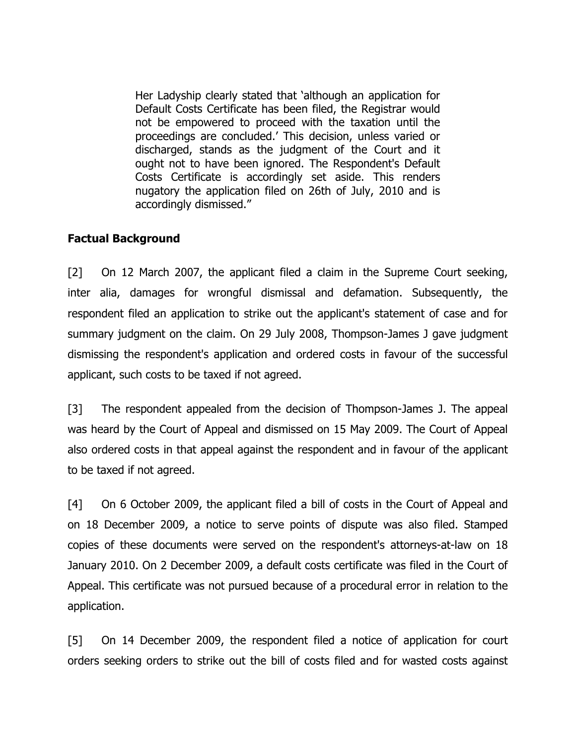Her Ladyship clearly stated that 'although an application for Default Costs Certificate has been filed, the Registrar would not be empowered to proceed with the taxation until the proceedings are concluded.' This decision, unless varied or discharged, stands as the judgment of the Court and it ought not to have been ignored. The Respondent's Default Costs Certificate is accordingly set aside. This renders nugatory the application filed on 26th of July, 2010 and is accordingly dismissed."

## Factual Background

[2] On 12 March 2007, the applicant filed a claim in the Supreme Court seeking, inter alia, damages for wrongful dismissal and defamation. Subsequently, the respondent filed an application to strike out the applicant's statement of case and for summary judgment on the claim. On 29 July 2008, Thompson-James J gave judgment dismissing the respondent's application and ordered costs in favour of the successful applicant, such costs to be taxed if not agreed.

[3] The respondent appealed from the decision of Thompson-James J. The appeal was heard by the Court of Appeal and dismissed on 15 May 2009. The Court of Appeal also ordered costs in that appeal against the respondent and in favour of the applicant to be taxed if not agreed.

[4] On 6 October 2009, the applicant filed a bill of costs in the Court of Appeal and on 18 December 2009, a notice to serve points of dispute was also filed. Stamped copies of these documents were served on the respondent's attorneys-at-law on 18 January 2010. On 2 December 2009, a default costs certificate was filed in the Court of Appeal. This certificate was not pursued because of a procedural error in relation to the application.

[5] On 14 December 2009, the respondent filed a notice of application for court orders seeking orders to strike out the bill of costs filed and for wasted costs against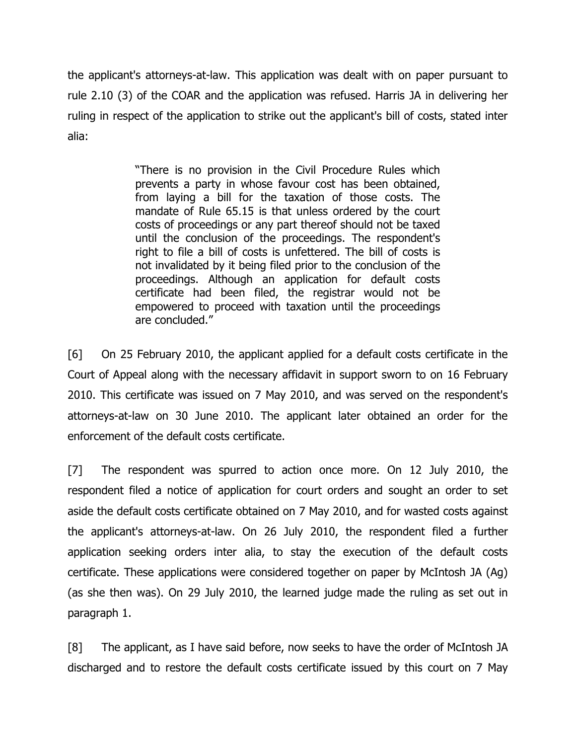the applicant's attorneys-at-law. This application was dealt with on paper pursuant to rule 2.10 (3) of the COAR and the application was refused. Harris JA in delivering her ruling in respect of the application to strike out the applicant's bill of costs, stated inter alia:

> "There is no provision in the Civil Procedure Rules which prevents a party in whose favour cost has been obtained, from laying a bill for the taxation of those costs. The mandate of Rule 65.15 is that unless ordered by the court costs of proceedings or any part thereof should not be taxed until the conclusion of the proceedings. The respondent's right to file a bill of costs is unfettered. The bill of costs is not invalidated by it being filed prior to the conclusion of the proceedings. Although an application for default costs certificate had been filed, the registrar would not be empowered to proceed with taxation until the proceedings are concluded."

[6] On 25 February 2010, the applicant applied for a default costs certificate in the Court of Appeal along with the necessary affidavit in support sworn to on 16 February 2010. This certificate was issued on 7 May 2010, and was served on the respondent's attorneys-at-law on 30 June 2010. The applicant later obtained an order for the enforcement of the default costs certificate.

[7] The respondent was spurred to action once more. On 12 July 2010, the respondent filed a notice of application for court orders and sought an order to set aside the default costs certificate obtained on 7 May 2010, and for wasted costs against the applicant's attorneys-at-law. On 26 July 2010, the respondent filed a further application seeking orders inter alia, to stay the execution of the default costs certificate. These applications were considered together on paper by McIntosh JA (Ag) (as she then was). On 29 July 2010, the learned judge made the ruling as set out in paragraph 1.

[8] The applicant, as I have said before, now seeks to have the order of McIntosh JA discharged and to restore the default costs certificate issued by this court on 7 May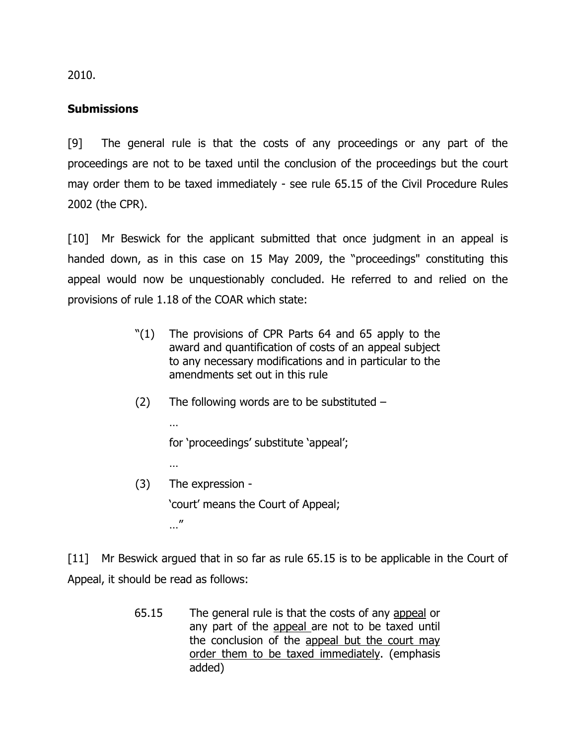2010.

## **Submissions**

[9] The general rule is that the costs of any proceedings or any part of the proceedings are not to be taxed until the conclusion of the proceedings but the court may order them to be taxed immediately - see rule 65.15 of the Civil Procedure Rules 2002 (the CPR).

[10] Mr Beswick for the applicant submitted that once judgment in an appeal is handed down, as in this case on 15 May 2009, the "proceedings" constituting this appeal would now be unquestionably concluded. He referred to and relied on the provisions of rule 1.18 of the COAR which state:

- "(1) The provisions of CPR Parts 64 and 65 apply to the award and quantification of costs of an appeal subject to any necessary modifications and in particular to the amendments set out in this rule
- $(2)$  The following words are to be substituted –

for 'proceedings' substitute 'appeal';

…

…

(3) The expression - 'court' means the Court of Appeal; …"

[11] Mr Beswick argued that in so far as rule 65.15 is to be applicable in the Court of Appeal, it should be read as follows:

> 65.15 The general rule is that the costs of any appeal or any part of the appeal are not to be taxed until the conclusion of the appeal but the court may order them to be taxed immediately. (emphasis added)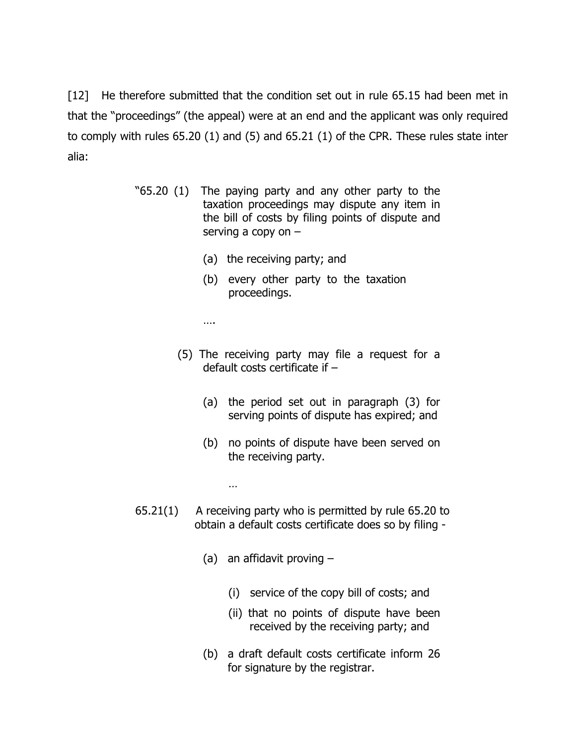[12] He therefore submitted that the condition set out in rule 65.15 had been met in that the "proceedings" (the appeal) were at an end and the applicant was only required to comply with rules 65.20 (1) and (5) and 65.21 (1) of the CPR. These rules state inter alia:

- "65.20 (1) The paying party and any other party to the taxation proceedings may dispute any item in the bill of costs by filing points of dispute and serving a copy on –
	- (a) the receiving party; and
	- (b) every other party to the taxation proceedings.

….

- (5) The receiving party may file a request for a default costs certificate if –
	- (a) the period set out in paragraph (3) for serving points of dispute has expired; and
	- (b) no points of dispute have been served on the receiving party.
- 65.21(1) A receiving party who is permitted by rule 65.20 to obtain a default costs certificate does so by filing -
	- (a) an affidavit proving  $-$

…

- (i) service of the copy bill of costs; and
- (ii) that no points of dispute have been received by the receiving party; and
- (b) a draft default costs certificate inform 26 for signature by the registrar.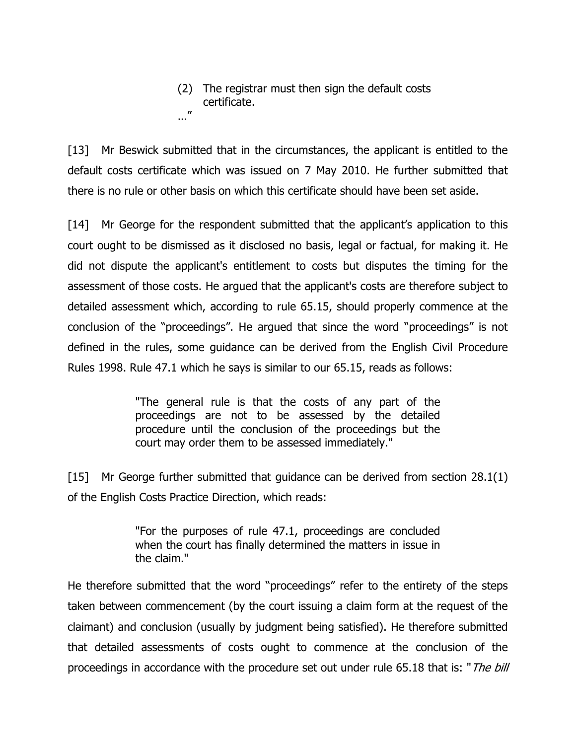(2) The registrar must then sign the default costs certificate. …"

[13] Mr Beswick submitted that in the circumstances, the applicant is entitled to the default costs certificate which was issued on 7 May 2010. He further submitted that there is no rule or other basis on which this certificate should have been set aside.

[14] Mr George for the respondent submitted that the applicant's application to this court ought to be dismissed as it disclosed no basis, legal or factual, for making it. He did not dispute the applicant's entitlement to costs but disputes the timing for the assessment of those costs. He argued that the applicant's costs are therefore subject to detailed assessment which, according to rule 65.15, should properly commence at the conclusion of the "proceedings". He argued that since the word "proceedings" is not defined in the rules, some guidance can be derived from the English Civil Procedure Rules 1998. Rule 47.1 which he says is similar to our 65.15, reads as follows:

> "The general rule is that the costs of any part of the proceedings are not to be assessed by the detailed procedure until the conclusion of the proceedings but the court may order them to be assessed immediately."

[15] Mr George further submitted that guidance can be derived from section 28.1(1) of the English Costs Practice Direction, which reads:

> "For the purposes of rule 47.1, proceedings are concluded when the court has finally determined the matters in issue in the claim."

He therefore submitted that the word "proceedings" refer to the entirety of the steps taken between commencement (by the court issuing a claim form at the request of the claimant) and conclusion (usually by judgment being satisfied). He therefore submitted that detailed assessments of costs ought to commence at the conclusion of the proceedings in accordance with the procedure set out under rule 65.18 that is: "The bill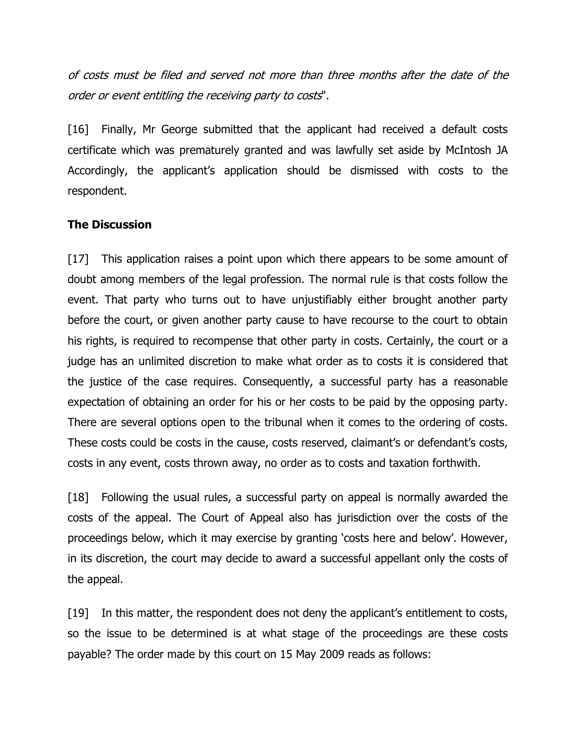of costs must be filed and served not more than three months after the date of the order or event entitling the receiving party to costs".

[16] Finally, Mr George submitted that the applicant had received a default costs certificate which was prematurely granted and was lawfully set aside by McIntosh JA Accordingly, the applicant's application should be dismissed with costs to the respondent.

## The Discussion

[17] This application raises a point upon which there appears to be some amount of doubt among members of the legal profession. The normal rule is that costs follow the event. That party who turns out to have unjustifiably either brought another party before the court, or given another party cause to have recourse to the court to obtain his rights, is required to recompense that other party in costs. Certainly, the court or a judge has an unlimited discretion to make what order as to costs it is considered that the justice of the case requires. Consequently, a successful party has a reasonable expectation of obtaining an order for his or her costs to be paid by the opposing party. There are several options open to the tribunal when it comes to the ordering of costs. These costs could be costs in the cause, costs reserved, claimant's or defendant's costs, costs in any event, costs thrown away, no order as to costs and taxation forthwith.

[18] Following the usual rules, a successful party on appeal is normally awarded the costs of the appeal. The Court of Appeal also has jurisdiction over the costs of the proceedings below, which it may exercise by granting 'costs here and below'. However, in its discretion, the court may decide to award a successful appellant only the costs of the appeal.

[19] In this matter, the respondent does not deny the applicant's entitlement to costs, so the issue to be determined is at what stage of the proceedings are these costs payable? The order made by this court on 15 May 2009 reads as follows: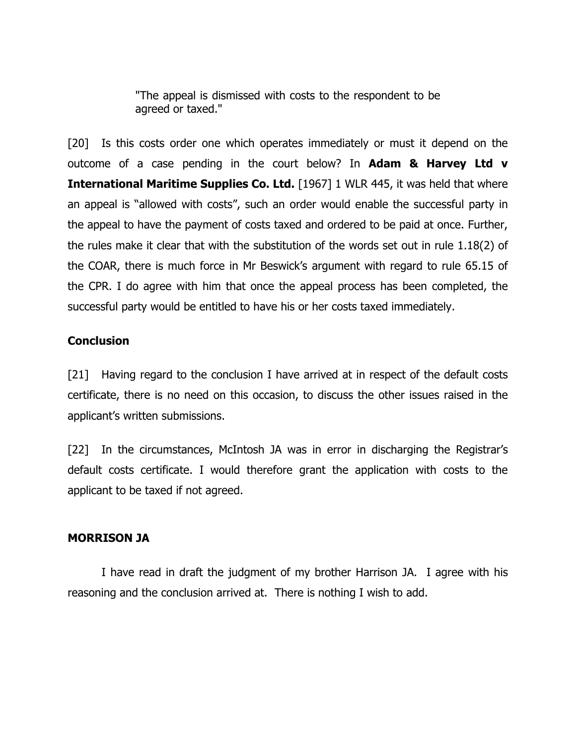"The appeal is dismissed with costs to the respondent to be agreed or taxed."

[20] Is this costs order one which operates immediately or must it depend on the outcome of a case pending in the court below? In Adam & Harvey Ltd  $v$ **International Maritime Supplies Co. Ltd.** [1967] 1 WLR 445, it was held that where an appeal is "allowed with costs", such an order would enable the successful party in the appeal to have the payment of costs taxed and ordered to be paid at once. Further, the rules make it clear that with the substitution of the words set out in rule 1.18(2) of the COAR, there is much force in Mr Beswick's argument with regard to rule 65.15 of the CPR. I do agree with him that once the appeal process has been completed, the successful party would be entitled to have his or her costs taxed immediately.

## **Conclusion**

[21] Having regard to the conclusion I have arrived at in respect of the default costs certificate, there is no need on this occasion, to discuss the other issues raised in the applicant's written submissions.

[22] In the circumstances, McIntosh JA was in error in discharging the Registrar's default costs certificate. I would therefore grant the application with costs to the applicant to be taxed if not agreed.

#### MORRISON JA

 I have read in draft the judgment of my brother Harrison JA. I agree with his reasoning and the conclusion arrived at. There is nothing I wish to add.